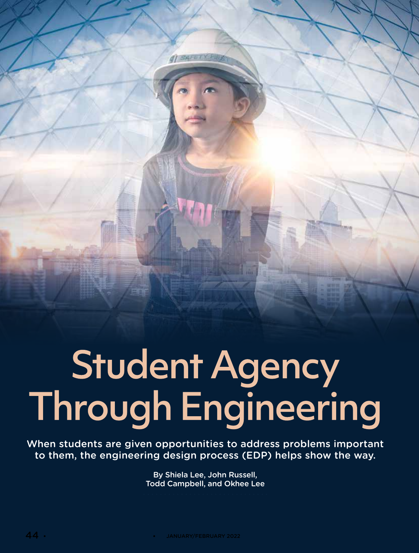Student Agency<br>Through Engineering

**di SAFETY FIRE** 

When students are given opportunities to address problems important to them, the engineering design process (EDP) helps show the way.

> By Shiela Lee, John Russell, Todd Campbell, and Okhee Lee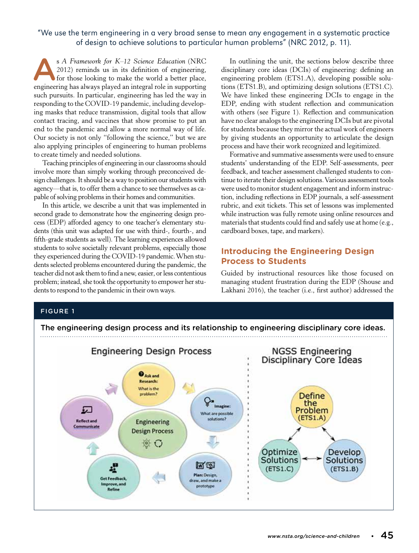## "We use the term engineering in a very broad sense to mean any engagement in a systematic practice of design to achieve solutions to particular human problems" (NRC 2012, p. 11).

s A Framework for K–12 Science Education (NRC 2012) reminds us in its definition of engineering, for those looking to make the world a better place, engineering has always played an integral role in supporting such pursuits. In particular, engineering has led the way in responding to the COVID-19 pandemic, including developing masks that reduce transmission, digital tools that allow contact tracing, and vaccines that show promise to put an end to the pandemic and allow a more normal way of life. Our society is not only "following the science," but we are also applying principles of engineering to human problems to create timely and needed solutions.

Teaching principles of engineering in our classrooms should involve more than simply working through preconceived design challenges. It should be a way to position our students with agency—that is, to offer them a chance to see themselves as capable of solving problems in their homes and communities.

In this article, we describe a unit that was implemented in second grade to demonstrate how the engineering design process (EDP) afforded agency to one teacher's elementary students (this unit was adapted for use with third-, fourth-, and fifth-grade students as well). The learning experiences allowed students to solve societally relevant problems, especially those they experienced during the COVID-19 pandemic. When students selected problems encountered during the pandemic, the teacher did not ask them to find a new, easier, or less contentious problem; instead, she took the opportunity to empower her students to respond to the pandemic in their own ways.

In outlining the unit, the sections below describe three disciplinary core ideas (DCIs) of engineering: defining an engineering problem (ETS1.A), developing possible solutions (ETS1.B), and optimizing design solutions (ETS1.C). We have linked these engineering DCIs to engage in the EDP, ending with student reflection and communication with others (see Figure 1). Reflection and communication have no clear analogs to the engineering DCIs but are pivotal for students because they mirror the actual work of engineers by giving students an opportunity to articulate the design process and have their work recognized and legitimized.

Formative and summative assessments were used to ensure students' understanding of the EDP. Self-assessments, peer feedback, and teacher assessment challenged students to continue to iterate their design solutions. Various assessment tools were used to monitor student engagement and inform instruction, including reflections in EDP journals, a self-assessment rubric, and exit tickets. This set of lessons was implemented while instruction was fully remote using online resources and materials that students could find and safely use at home (e.g., cardboard boxes, tape, and markers).

## **Introducing the Engineering Design Process to Students**

Guided by instructional resources like those focused on managing student frustration during the EDP (Shouse and Lakhani 2016), the teacher (i.e., first author) addressed the

## FIGURE 1

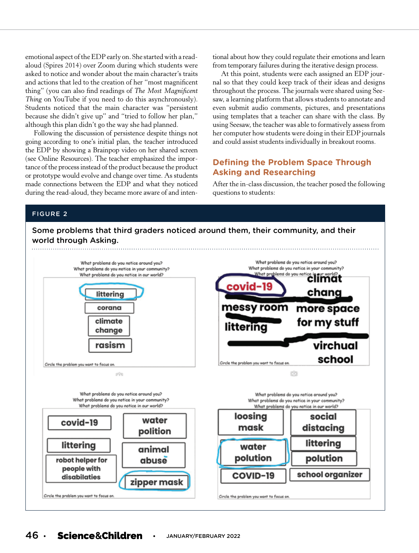emotional aspect of the EDP early on. She started with a readaloud (Spires 2014) over Zoom during which students were asked to notice and wonder about the main character's traits and actions that led to the creation of her "most magnificent thing" (you can also find readings of *The Most Magnificent Thing* on YouTube if you need to do this asynchronously). Students noticed that the main character was "persistent because she didn't give up" and "tried to follow her plan," although this plan didn't go the way she had planned.

Following the discussion of persistence despite things not going according to one's initial plan, the teacher introduced the EDP by showing a Brainpop video on her shared screen (see Online Resources). The teacher emphasized the importance of the process instead of the product because the product or prototype would evolve and change over time. As students made connections between the EDP and what they noticed during the read-aloud, they became more aware of and intentional about how they could regulate their emotions and learn from temporary failures during the iterative design process.

At this point, students were each assigned an EDP journal so that they could keep track of their ideas and designs throughout the process. The journals were shared using Seesaw, a learning platform that allows students to annotate and even submit audio comments, pictures, and presentations using templates that a teacher can share with the class. By using Seesaw, the teacher was able to formatively assess from her computer how students were doing in their EDP journals and could assist students individually in breakout rooms.

## **Defining the Problem Space Through Asking and Researching**

After the in-class discussion, the teacher posed the following questions to students:

### FIGURE 2

## Some problems that third graders noticed around them, their community, and their world through Asking.



## 46 **• •** JANUARY/FEBRUARY 2022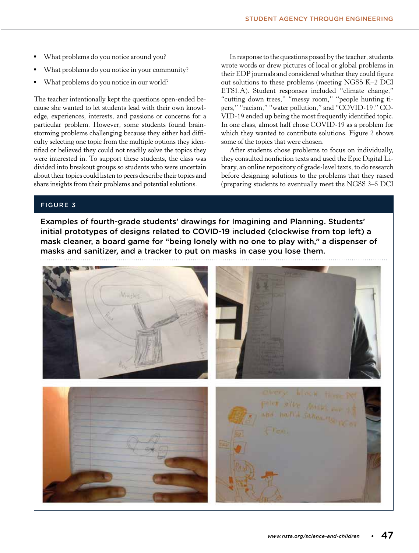- What problems do you notice around you?
- What problems do you notice in your community?
- What problems do you notice in our world?

The teacher intentionally kept the questions open-ended because she wanted to let students lead with their own knowledge, experiences, interests, and passions or concerns for a particular problem. However, some students found brainstorming problems challenging because they either had difficulty selecting one topic from the multiple options they identified or believed they could not readily solve the topics they were interested in. To support these students, the class was divided into breakout groups so students who were uncertain about their topics could listen to peers describe their topics and share insights from their problems and potential solutions.

In response to the questions posed by the teacher, students wrote words or drew pictures of local or global problems in their EDP journals and considered whether they could figure out solutions to these problems (meeting NGSS K–2 DCI ETS1.A). Student responses included "climate change," "cutting down trees," "messy room," "people hunting tigers," "racism," "water pollution," and "COVID-19." CO-VID-19 ended up being the most frequently identified topic. In one class, almost half chose COVID-19 as a problem for which they wanted to contribute solutions. Figure 2 shows some of the topics that were chosen.

After students chose problems to focus on individually, they consulted nonfiction texts and used the Epic Digital Library, an online repository of grade-level texts, to do research before designing solutions to the problems that they raised (preparing students to eventually meet the NGSS 3–5 DCI

## FIGURE 3

Examples of fourth-grade students' drawings for Imagining and Planning. Students' initial prototypes of designs related to COVID-19 included (clockwise from top left) a mask cleaner, a board game for "being lonely with no one to play with," a dispenser of masks and sanitizer, and a tracker to put on masks in case you lose them.

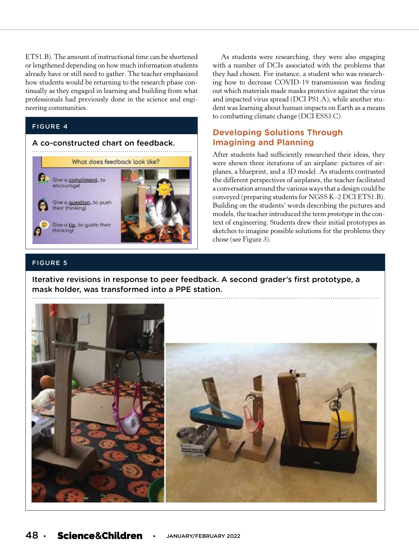ETS1.B). The amount of instructional time can be shortened or lengthened depending on how much information students already have or still need to gather. The teacher emphasized how students would be returning to the research phase continually as they engaged in learning and building from what professionals had previously done in the science and engineering communities.

## FIGURE 4



As students were researching, they were also engaging with a number of DCIs associated with the problems that they had chosen. For instance, a student who was researching how to decrease COVID-19 transmission was finding out which materials made masks protective against the virus and impacted virus spread (DCI PS1.A), while another student was learning about human impacts on Earth as a means to combatting climate change (DCI ESS3.C).

## **Developing Solutions Through Imagining and Planning**

After students had sufficiently researched their ideas, they were shown three iterations of an airplane: pictures of airplanes, a blueprint, and a 3D model. As students contrasted the different perspectives of airplanes, the teacher facilitated a conversation around the various ways that a design could be conveyed (preparing students for NGSS K–2 DCI ETS1.B). Building on the students' words describing the pictures and models, the teacher introduced the term *prototype* in the context of engineering. Students drew their initial prototypes as sketches to imagine possible solutions for the problems they chose (see Figure 3).

## FIGURE 5

Iterative revisions in response to peer feedback. A second grader's first prototype, a mask holder, was transformed into a PPE station.

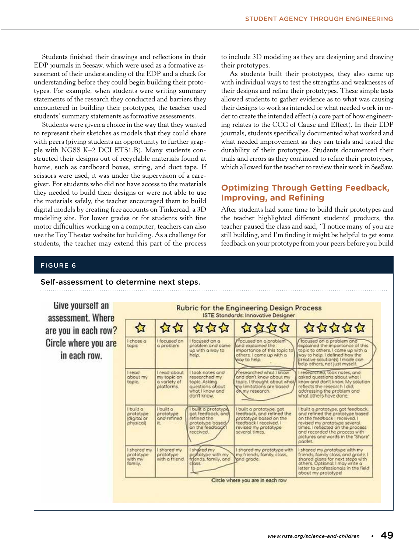Students finished their drawings and reflections in their EDP journals in Seesaw, which were used as a formative assessment of their understanding of the EDP and a check for understanding before they could begin building their prototypes. For example, when students were writing summary statements of the research they conducted and barriers they encountered in building their prototypes, the teacher used students' summary statements as formative assessments.

Students were given a choice in the way that they wanted to represent their sketches as models that they could share with peers (giving students an opportunity to further grapple with NGSS K–2 DCI ETS1.B). Many students constructed their designs out of recyclable materials found at home, such as cardboard boxes, string, and duct tape. If scissors were used, it was under the supervision of a caregiver. For students who did not have access to the materials they needed to build their designs or were not able to use the materials safely, the teacher encouraged them to build digital models by creating free accounts on Tinkercad, a 3D modeling site. For lower grades or for students with fine motor difficulties working on a computer, teachers can also use the Toy Theater website for building. As a challenge for students, the teacher may extend this part of the process

to include 3D modeling as they are designing and drawing their prototypes.

As students built their prototypes, they also came up with individual ways to test the strengths and weaknesses of their designs and refine their prototypes. These simple tests allowed students to gather evidence as to what was causing their designs to work as intended or what needed work in order to create the intended effect (a core part of how engineering relates to the CCC of Cause and Effect). In their EDP journals, students specifically documented what worked and what needed improvement as they ran trials and tested the durability of their prototypes. Students documented their trials and errors as they continued to refine their prototypes, which allowed for the teacher to review their work in SeeSaw.

## **Optimizing Through Getting Feedback, Improving, and Refining**

After students had some time to build their prototypes and the teacher highlighted different students' products, the teacher paused the class and said, "I notice many of you are still building, and I'm finding it might be helpful to get some feedback on your prototype from your peers before you build

### FIGURE 6

#### Self-assessment to determine next steps. Give yourself an **Rubric for the Engineering Design Process ISTE Stondards: Innovative Designer** assessment. Where 公公公公公 ଧ 公公 are you in each row? I chose o focused on a problem and<br>explained the importance of this Circle where you are focused on focused on a focused on a probler problem and car<br>up with a way to<br>help. problem and came topic o problem and explained the importance of this topic to topic to others. I came up with a in each row. way to help. I defined how the<br>creative solution(s) I mode can<br>help others, not just myself. others. I come up with a way to help. read about took notes and researched what I know researched, took notes, and **Tread** researched my<br>topic. Asking<br>questions obout<br>what I know and about my<br>topic. my topic on<br>a variety of and dan't know about my asked questions about what topic. I thought about who know and don't know. My solution platforms my limitations are based<br>on my research reflects the research I did. addressing the problem and don't know. what others have done. I built a I built a built a prototype built o prototype, got built a prototype, got feedback, prototype<br>and refined feedbock, ond refined the and refined the prototype based<br>on the feedback I received. I orototype oot feedback, and (digital or efined the prototype based on the physical) it. prototype based<br>on the feedback feedback | received, | revised my prototype several<br>times. I reflected on the process revised my prototype received. and recorded the orocess with pictures and words in the "Share" padlet. I shored my I shared my shored my I shared my prototype with shored my prototype with my friends, family class, and grade. I<br>shared plans for next steps with<br>others. Optional: I may write a prototype<br>with my entotype with my<br>fends, family, and prototype<br>with a friend my friends, family, closs, and grade. family. nss letter to professionals in the field obout my prototypel Circle where you are in each row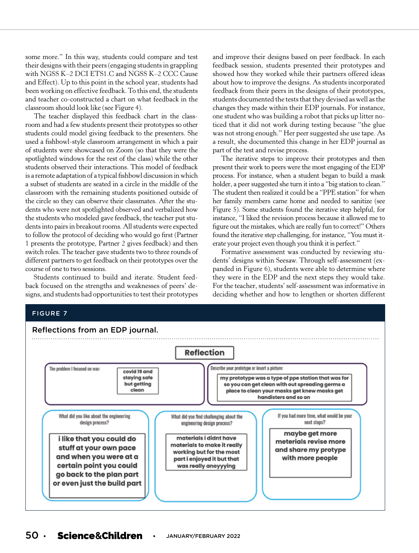some more." In this way, students could compare and test their designs with their peers (engaging students in grappling with NGSS K–2 DCI ETS1.C and NGSS K–2 CCC Cause and Effect). Up to this point in the school year, students had been working on effective feedback. To this end, the students and teacher co-constructed a chart on what feedback in the classroom should look like (see Figure 4).

The teacher displayed this feedback chart in the classroom and had a few students present their prototypes so other students could model giving feedback to the presenters. She used a fishbowl-style classroom arrangement in which a pair of students were showcased on Zoom (so that they were the spotlighted windows for the rest of the class) while the other students observed their interactions. This model of feedback is a remote adaptation of a typical fishbowl discussion in which a subset of students are seated in a circle in the middle of the classroom with the remaining students positioned outside of the circle so they can observe their classmates. After the students who were not spotlighted observed and verbalized how the students who modeled gave feedback, the teacher put students into pairs in breakout rooms. All students were expected to follow the protocol of deciding who would go first (Partner 1 presents the prototype, Partner 2 gives feedback) and then switch roles. The teacher gave students two to three rounds of different partners to get feedback on their prototypes over the course of one to two sessions.

Students continued to build and iterate. Student feedback focused on the strengths and weaknesses of peers' designs, and students had opportunities to test their prototypes and improve their designs based on peer feedback. In each feedback session, students presented their prototypes and showed how they worked while their partners offered ideas about how to improve the designs. As students incorporated feedback from their peers in the designs of their prototypes, students documented the tests that they devised as well as the changes they made within their EDP journals. For instance, one student who was building a robot that picks up litter noticed that it did not work during testing because "the glue was not strong enough." Her peer suggested she use tape. As a result, she documented this change in her EDP journal as part of the test and revise process.

The iterative steps to improve their prototypes and then present their work to peers were the most engaging of the EDP process. For instance, when a student began to build a mask holder, a peer suggested she turn it into a "big station to clean." The student then realized it could be a "PPE station" for when her family members came home and needed to sanitize (see Figure 5). Some students found the iterative step helpful, for instance, "I liked the revision process because it allowed me to figure out the mistakes, which are really fun to correct!" Others found the iterative step challenging, for instance, "You must iterate your project even though you think it is perfect."

Formative assessment was conducted by reviewing students' designs within Seesaw. Through self-assessment (expanded in Figure 6), students were able to determine where they were in the EDP and the next steps they would take. For the teacher, students' self-assessment was informative in deciding whether and how to lengthen or shorten different

#### FIGURE 7



# 50 **• •** JANUARY/FEBRUARY 2022